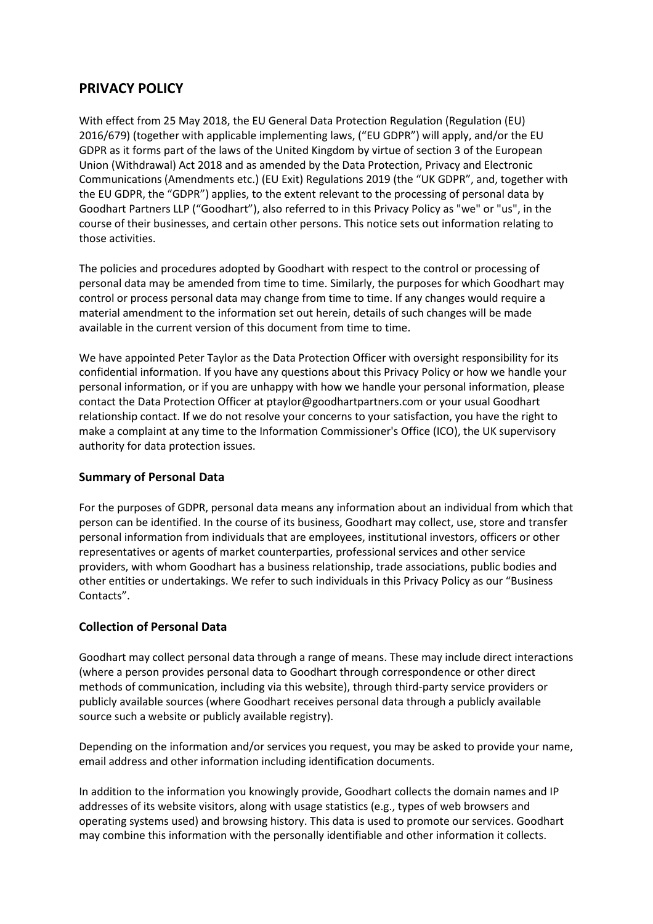# **PRIVACY POLICY**

With effect from 25 May 2018, the EU General Data Protection Regulation (Regulation (EU) 2016/679) (together with applicable implementing laws, ("EU GDPR") will apply, and/or the EU GDPR as it forms part of the laws of the United Kingdom by virtue of section 3 of the European Union (Withdrawal) Act 2018 and as amended by the Data Protection, Privacy and Electronic Communications (Amendments etc.) (EU Exit) Regulations 2019 (the "UK GDPR", and, together with the EU GDPR, the "GDPR") applies, to the extent relevant to the processing of personal data by Goodhart Partners LLP ("Goodhart"), also referred to in this Privacy Policy as "we" or "us", in the course of their businesses, and certain other persons. This notice sets out information relating to those activities.

The policies and procedures adopted by Goodhart with respect to the control or processing of personal data may be amended from time to time. Similarly, the purposes for which Goodhart may control or process personal data may change from time to time. If any changes would require a material amendment to the information set out herein, details of such changes will be made available in the current version of this document from time to time.

We have appointed Peter Taylor as the Data Protection Officer with oversight responsibility for its confidential information. If you have any questions about this Privacy Policy or how we handle your personal information, or if you are unhappy with how we handle your personal information, please contact the Data Protection Officer at ptaylor@goodhartpartners.com or your usual Goodhart relationship contact. If we do not resolve your concerns to your satisfaction, you have the right to make a complaint at any time to the Information Commissioner's Office (ICO), the UK supervisory authority for data protection issues.

# **Summary of Personal Data**

For the purposes of GDPR, personal data means any information about an individual from which that person can be identified. In the course of its business, Goodhart may collect, use, store and transfer personal information from individuals that are employees, institutional investors, officers or other representatives or agents of market counterparties, professional services and other service providers, with whom Goodhart has a business relationship, trade associations, public bodies and other entities or undertakings. We refer to such individuals in this Privacy Policy as our "Business Contacts".

# **Collection of Personal Data**

Goodhart may collect personal data through a range of means. These may include direct interactions (where a person provides personal data to Goodhart through correspondence or other direct methods of communication, including via this website), through third-party service providers or publicly available sources (where Goodhart receives personal data through a publicly available source such a website or publicly available registry).

Depending on the information and/or services you request, you may be asked to provide your name, email address and other information including identification documents.

In addition to the information you knowingly provide, Goodhart collects the domain names and IP addresses of its website visitors, along with usage statistics (e.g., types of web browsers and operating systems used) and browsing history. This data is used to promote our services. Goodhart may combine this information with the personally identifiable and other information it collects.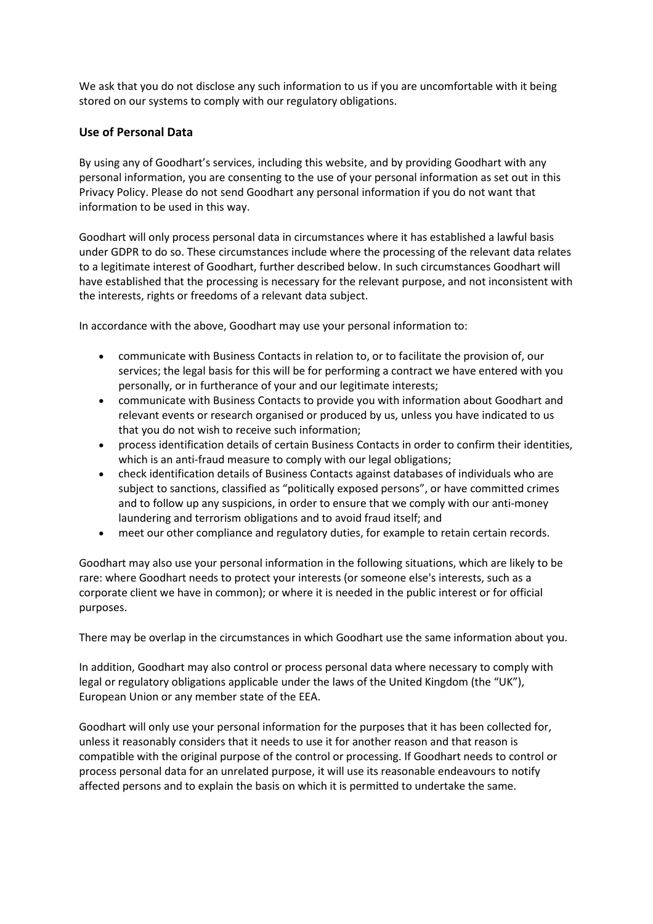We ask that you do not disclose any such information to us if you are uncomfortable with it being stored on our systems to comply with our regulatory obligations.

# **Use of Personal Data**

By using any of Goodhart's services, including this website, and by providing Goodhart with any personal information, you are consenting to the use of your personal information as set out in this Privacy Policy. Please do not send Goodhart any personal information if you do not want that information to be used in this way.

Goodhart will only process personal data in circumstances where it has established a lawful basis under GDPR to do so. These circumstances include where the processing of the relevant data relates to a legitimate interest of Goodhart, further described below. In such circumstances Goodhart will have established that the processing is necessary for the relevant purpose, and not inconsistent with the interests, rights or freedoms of a relevant data subject.

In accordance with the above, Goodhart may use your personal information to:

- communicate with Business Contacts in relation to, or to facilitate the provision of, our services; the legal basis for this will be for performing a contract we have entered with you personally, or in furtherance of your and our legitimate interests;
- communicate with Business Contacts to provide you with information about Goodhart and relevant events or research organised or produced by us, unless you have indicated to us that you do not wish to receive such information;
- process identification details of certain Business Contacts in order to confirm their identities, which is an anti-fraud measure to comply with our legal obligations;
- check identification details of Business Contacts against databases of individuals who are subject to sanctions, classified as "politically exposed persons", or have committed crimes and to follow up any suspicions, in order to ensure that we comply with our anti-money laundering and terrorism obligations and to avoid fraud itself; and
- meet our other compliance and regulatory duties, for example to retain certain records.

Goodhart may also use your personal information in the following situations, which are likely to be rare: where Goodhart needs to protect your interests (or someone else's interests, such as a corporate client we have in common); or where it is needed in the public interest or for official purposes.

There may be overlap in the circumstances in which Goodhart use the same information about you.

In addition, Goodhart may also control or process personal data where necessary to comply with legal or regulatory obligations applicable under the laws of the United Kingdom (the "UK"), European Union or any member state of the EEA.

Goodhart will only use your personal information for the purposes that it has been collected for, unless it reasonably considers that it needs to use it for another reason and that reason is compatible with the original purpose of the control or processing. If Goodhart needs to control or process personal data for an unrelated purpose, it will use its reasonable endeavours to notify affected persons and to explain the basis on which it is permitted to undertake the same.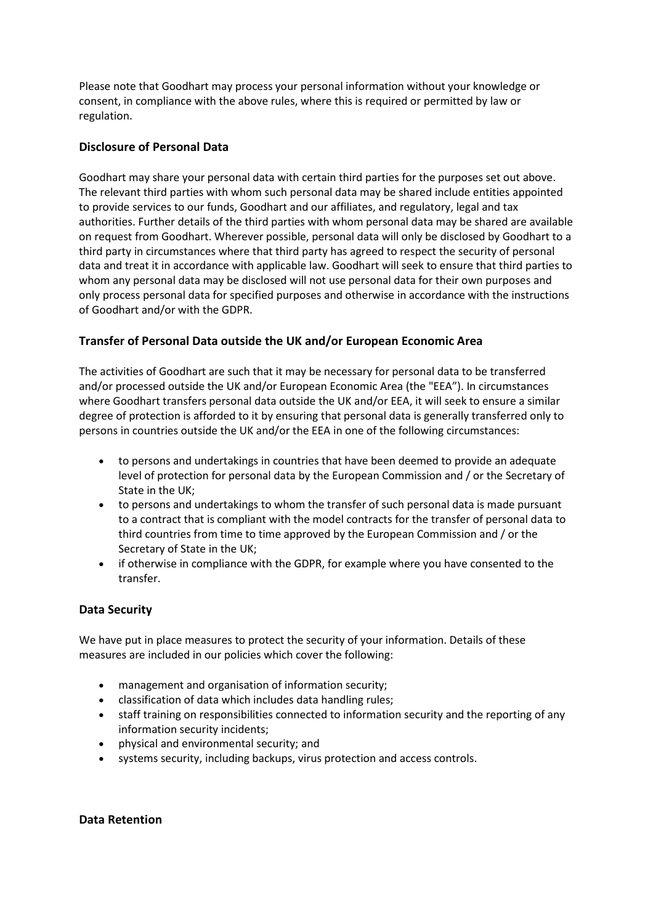Please note that Goodhart may process your personal information without your knowledge or consent, in compliance with the above rules, where this is required or permitted by law or regulation.

# **Disclosure of Personal Data**

Goodhart may share your personal data with certain third parties for the purposes set out above. The relevant third parties with whom such personal data may be shared include entities appointed to provide services to our funds, Goodhart and our affiliates, and regulatory, legal and tax authorities. Further details of the third parties with whom personal data may be shared are available on request from Goodhart. Wherever possible, personal data will only be disclosed by Goodhart to a third party in circumstances where that third party has agreed to respect the security of personal data and treat it in accordance with applicable law. Goodhart will seek to ensure that third parties to whom any personal data may be disclosed will not use personal data for their own purposes and only process personal data for specified purposes and otherwise in accordance with the instructions of Goodhart and/or with the GDPR.

#### **Transfer of Personal Data outside the UK and/or European Economic Area**

The activities of Goodhart are such that it may be necessary for personal data to be transferred and/or processed outside the UK and/or European Economic Area (the "EEA"). In circumstances where Goodhart transfers personal data outside the UK and/or EEA, it will seek to ensure a similar degree of protection is afforded to it by ensuring that personal data is generally transferred only to persons in countries outside the UK and/or the EEA in one of the following circumstances:

- to persons and undertakings in countries that have been deemed to provide an adequate level of protection for personal data by the European Commission and / or the Secretary of State in the UK;
- to persons and undertakings to whom the transfer of such personal data is made pursuant to a contract that is compliant with the model contracts for the transfer of personal data to third countries from time to time approved by the European Commission and / or the Secretary of State in the UK;
- if otherwise in compliance with the GDPR, for example where you have consented to the transfer.

# **Data Security**

We have put in place measures to protect the security of your information. Details of these measures are included in our policies which cover the following:

- management and organisation of information security;
- classification of data which includes data handling rules;
- staff training on responsibilities connected to information security and the reporting of any information security incidents;
- physical and environmental security; and
- systems security, including backups, virus protection and access controls.

#### **Data Retention**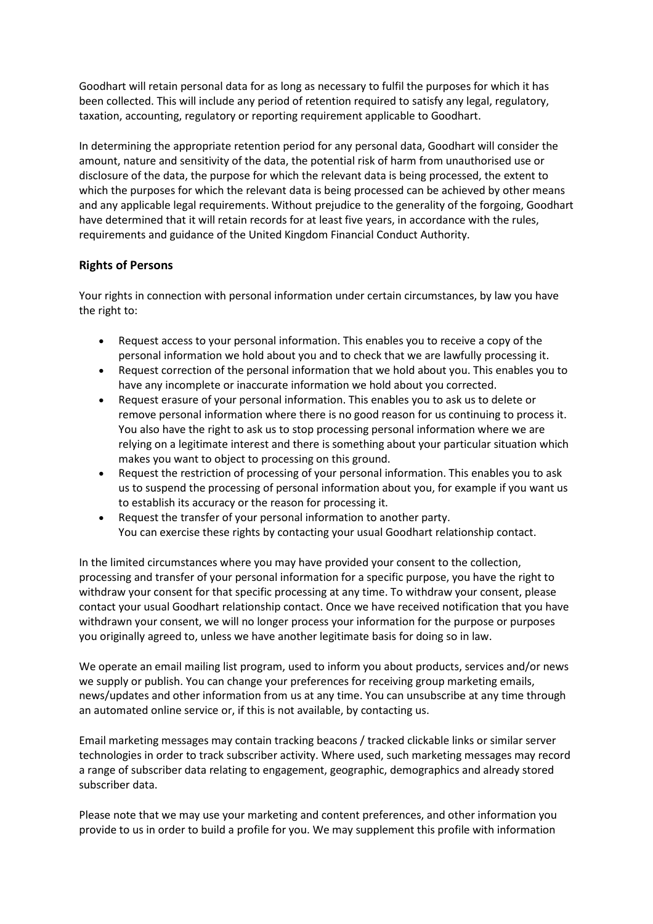Goodhart will retain personal data for as long as necessary to fulfil the purposes for which it has been collected. This will include any period of retention required to satisfy any legal, regulatory, taxation, accounting, regulatory or reporting requirement applicable to Goodhart.

In determining the appropriate retention period for any personal data, Goodhart will consider the amount, nature and sensitivity of the data, the potential risk of harm from unauthorised use or disclosure of the data, the purpose for which the relevant data is being processed, the extent to which the purposes for which the relevant data is being processed can be achieved by other means and any applicable legal requirements. Without prejudice to the generality of the forgoing, Goodhart have determined that it will retain records for at least five years, in accordance with the rules, requirements and guidance of the United Kingdom Financial Conduct Authority.

# **Rights of Persons**

Your rights in connection with personal information under certain circumstances, by law you have the right to:

- Request access to your personal information. This enables you to receive a copy of the personal information we hold about you and to check that we are lawfully processing it.
- Request correction of the personal information that we hold about you. This enables you to have any incomplete or inaccurate information we hold about you corrected.
- Request erasure of your personal information. This enables you to ask us to delete or remove personal information where there is no good reason for us continuing to process it. You also have the right to ask us to stop processing personal information where we are relying on a legitimate interest and there is something about your particular situation which makes you want to object to processing on this ground.
- Request the restriction of processing of your personal information. This enables you to ask us to suspend the processing of personal information about you, for example if you want us to establish its accuracy or the reason for processing it.
- Request the transfer of your personal information to another party. You can exercise these rights by contacting your usual Goodhart relationship contact.

In the limited circumstances where you may have provided your consent to the collection, processing and transfer of your personal information for a specific purpose, you have the right to withdraw your consent for that specific processing at any time. To withdraw your consent, please contact your usual Goodhart relationship contact. Once we have received notification that you have withdrawn your consent, we will no longer process your information for the purpose or purposes you originally agreed to, unless we have another legitimate basis for doing so in law.

We operate an email mailing list program, used to inform you about products, services and/or news we supply or publish. You can change your preferences for receiving group marketing emails, news/updates and other information from us at any time. You can unsubscribe at any time through an automated online service or, if this is not available, by contacting us.

Email marketing messages may contain tracking beacons / tracked clickable links or similar server technologies in order to track subscriber activity. Where used, such marketing messages may record a range of subscriber data relating to engagement, geographic, demographics and already stored subscriber data.

Please note that we may use your marketing and content preferences, and other information you provide to us in order to build a profile for you. We may supplement this profile with information